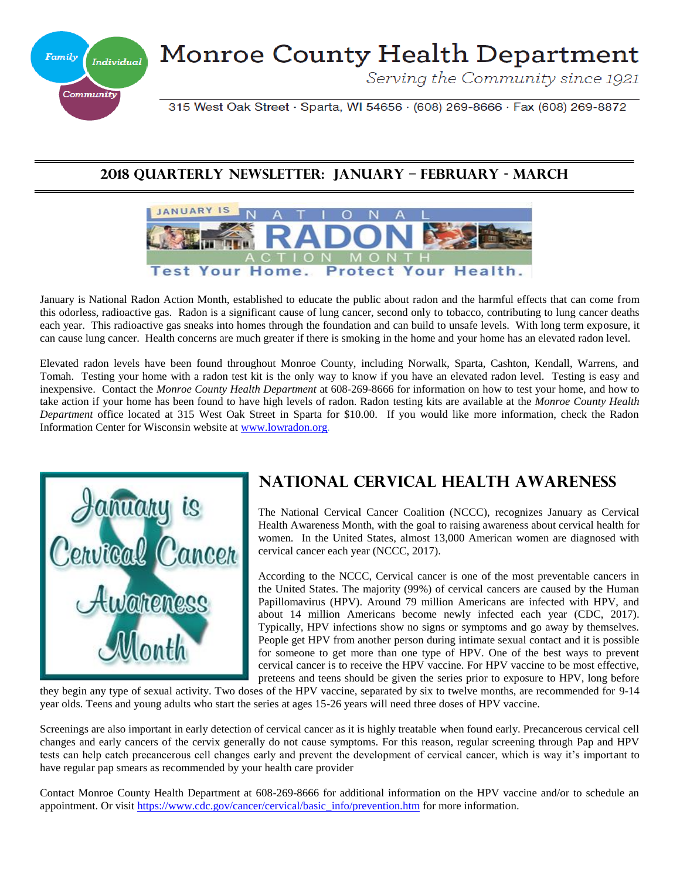

# Monroe County Health Department

Serving the Community since 1921

315 West Oak Street · Sparta, WI 54656 · (608) 269-8666 · Fax (608) 269-8872

#### **2018 Quarterly Newsletter: JANUARY – FEBRUARY - MARCH**



January is National Radon Action Month, established to educate the public about radon and the harmful effects that can come from this odorless, radioactive gas. Radon is a significant cause of lung cancer, second only to tobacco, contributing to lung cancer deaths each year. This radioactive gas sneaks into homes through the foundation and can build to unsafe levels. With long term exposure, it can cause lung cancer. Health concerns are much greater if there is smoking in the home and your home has an elevated radon level.

Elevated radon levels have been found throughout Monroe County, including Norwalk, Sparta, Cashton, Kendall, Warrens, and Tomah. Testing your home with a radon test kit is the only way to know if you have an elevated radon level. Testing is easy and inexpensive. Contact the *Monroe County Health Department* at 608-269-8666 for information on how to test your home, and how to take action if your home has been found to have high levels of radon. Radon testing kits are available at the *Monroe County Health Department* office located at 315 West Oak Street in Sparta for \$10.00. If you would like more information, check the Radon Information Center for Wisconsin website at [www.lowradon.org](http://www.lowradon.org/)*.*



# **National Cervical Health Awareness**

The National Cervical Cancer Coalition (NCCC), recognizes January as Cervical Health Awareness Month, with the goal to raising awareness about cervical health for women. In the United States, almost 13,000 American women are diagnosed with cervical cancer each year (NCCC, 2017).

According to the NCCC, Cervical cancer is one of the most preventable cancers in the United States. The majority (99%) of cervical cancers are caused by the Human Papillomavirus (HPV). Around 79 million Americans are infected with HPV, and about 14 million Americans become newly infected each year (CDC, 2017). Typically, HPV infections show no signs or symptoms and go away by themselves. People get HPV from another person during intimate sexual contact and it is possible for someone to get more than one type of HPV. One of the best ways to prevent cervical cancer is to receive the HPV vaccine. For HPV vaccine to be most effective, preteens and teens should be given the series prior to exposure to HPV, long before

they begin any type of sexual activity. Two doses of the HPV vaccine, separated by six to twelve months, are recommended for 9-14 year olds. Teens and young adults who start the series at ages 15-26 years will need three doses of HPV vaccine.

Screenings are also important in early detection of cervical cancer as it is highly treatable when found early. Precancerous cervical cell changes and early cancers of the cervix generally do not cause symptoms. For this reason, regular screening through Pap and HPV tests can help catch precancerous cell changes early and prevent the development of cervical cancer, which is way it's important to have regular pap smears as recommended by your health care provider

Contact Monroe County Health Department at 608-269-8666 for additional information on the HPV vaccine and/or to schedule an appointment. Or visit [https://www.cdc.gov/cancer/cervical/basic\\_info/prevention.htm](https://www.cdc.gov/cancer/cervical/basic_info/prevention.htm) for more information.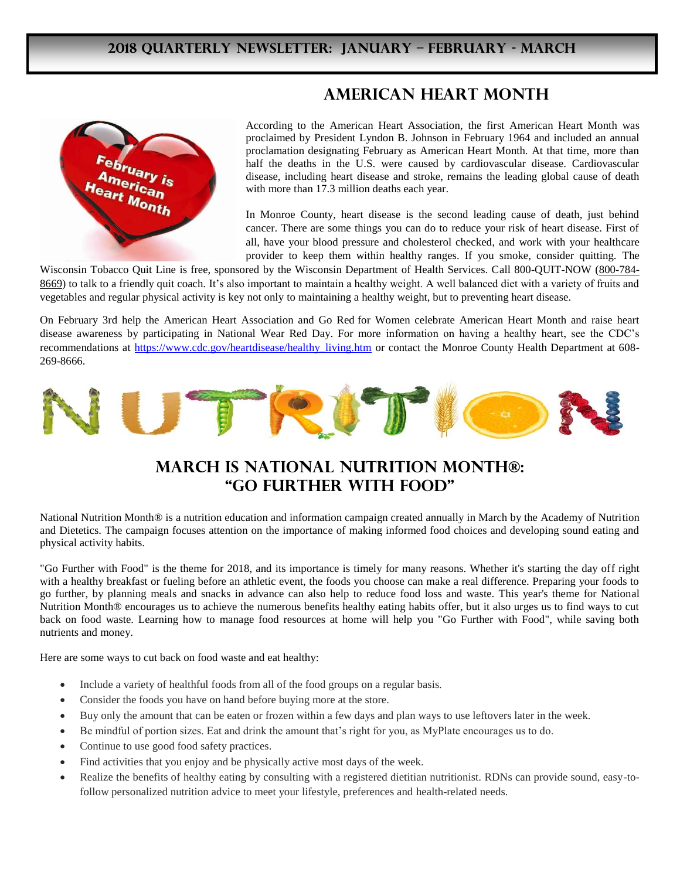#### **American Heart Month**



According to the American Heart Association, the first American Heart Month was proclaimed by President Lyndon B. Johnson in February 1964 and included an annual proclamation designating February as American Heart Month. At that time, more than half the deaths in the U.S. were caused by cardiovascular disease. Cardiovascular disease, including heart disease and stroke, remains the leading global cause of death with more than 17.3 million deaths each year.

In Monroe County, heart disease is the second leading cause of death, just behind cancer. There are some things you can do to reduce your risk of heart disease. First of all, have your blood pressure and cholesterol checked, and work with your healthcare provider to keep them within healthy ranges. If you smoke, consider quitting. The

Wisconsin Tobacco Quit Line is free, sponsored by the Wisconsin Department of Health Services. Call 800-QUIT-NOW [\(800-784-](tel:+18007848669) [8669\)](tel:+18007848669) to talk to a friendly quit coach. It's also important to maintain a healthy weight. A well balanced diet with a variety of fruits and vegetables and regular physical activity is key not only to maintaining a healthy weight, but to preventing heart disease.

On February 3rd help the American Heart Association and Go Red for Women celebrate American Heart Month and raise heart disease awareness by participating in National Wear Red Day. For more information on having a healthy heart, see the CDC's recommendations at [https://www.cdc.gov/heartdisease/healthy\\_living.htm](https://www.cdc.gov/heartdisease/healthy_living.htm) or contact the Monroe County Health Department at 608-269-8666.



### **March is National Nutrition Month®: "Go Further with Food"**

National Nutrition Month® is a nutrition education and information campaign created annually in March by the Academy of Nutrition and Dietetics. The campaign focuses attention on the importance of making informed food choices and developing sound eating and physical activity habits.

"Go Further with Food" is the theme for 2018, and its importance is timely for many reasons. Whether it's starting the day off right with a healthy breakfast or fueling before an athletic event, the foods you choose can make a real difference. Preparing your foods to go further, by planning meals and snacks in advance can also help to reduce food loss and waste. This year's theme for National Nutrition Month® encourages us to achieve the numerous benefits healthy eating habits offer, but it also urges us to find ways to cut back on food waste. Learning how to manage food resources at home will help you "Go Further with Food", while saving both nutrients and money.

Here are some ways to cut back on food waste and eat healthy:

- Include a variety of healthful foods from all of the food groups on a regular basis.
- Consider the foods you have on hand before buying more at the store.
- Buy only the amount that can be eaten or frozen within a few days and plan ways to use leftovers later in the week.
- Be mindful of portion sizes. Eat and drink the amount that's right for you, as MyPlate encourages us to do.
- Continue to use good food safety practices.
- Find activities that you enjoy and be physically active most days of the week.
- Realize the benefits of healthy eating by consulting with a registered dietitian nutritionist. RDNs can provide sound, easy-tofollow personalized nutrition advice to meet your lifestyle, preferences and health-related needs.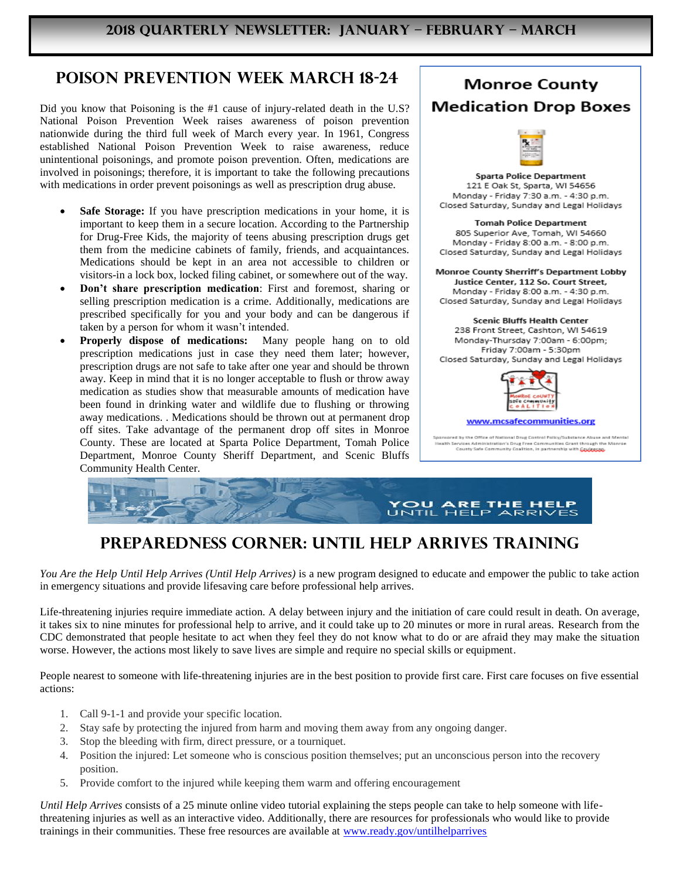# **Poison Prevention Week March 18-24**

Did you know that Poisoning is the #1 cause of injury-related death in the U.S? National Poison Prevention Week raises awareness of poison prevention nationwide during the third full week of March every year. In 1961, Congress established National Poison Prevention Week to raise awareness, reduce unintentional poisonings, and promote poison prevention. Often, medications are involved in poisonings; therefore, it is important to take the following precautions with medications in order prevent poisonings as well as prescription drug abuse.

- **Safe Storage:** If you have prescription medications in your home, it is important to keep them in a secure location. According to the Partnership for Drug-Free Kids, the majority of teens abusing prescription drugs get them from the medicine cabinets of family, friends, and acquaintances. Medications should be kept in an area not accessible to children or visitors-in a lock box, locked filing cabinet, or somewhere out of the way.
- **Don't share prescription medication**: First and foremost, sharing or selling prescription medication is a crime. Additionally, medications are prescribed specifically for you and your body and can be dangerous if taken by a person for whom it wasn't intended.
- **Properly dispose of medications:** Many people hang on to old prescription medications just in case they need them later; however, prescription drugs are not safe to take after one year and should be thrown away. Keep in mind that it is no longer acceptable to flush or throw away medication as studies show that measurable amounts of medication have been found in drinking water and wildlife due to flushing or throwing away medications. . Medications should be thrown out at permanent drop off sites. Take advantage of the permanent drop off sites in Monroe County. These are located at Sparta Police Department, Tomah Police Department, Monroe County Sheriff Department, and Scenic Bluffs Community Health Center.



lealth Services Administration's Drug Free Communities Grant through the Monroe<br>County Safe Community Coalition, in partnership with Cou<mark>nty Sag</mark>



# **Preparedness Corner: Until Help Arrives Training**

*You Are the Help Until Help Arrives (Until Help Arrives)* is a new program designed to educate and empower the public to take action in emergency situations and provide lifesaving care before professional help arrives.

Life-threatening injuries require immediate action. A delay between injury and the initiation of care could result in death. On average, it takes six to nine minutes for professional help to arrive, and it could take up to 20 minutes or more in rural areas. Research from the CDC demonstrated that people hesitate to act when they feel they do not know what to do or are afraid they may make the situation worse. However, the actions most likely to save lives are simple and require no special skills or equipment.

People nearest to someone with life-threatening injuries are in the best position to provide first care. First care focuses on five essential actions:

- 1. Call 9-1-1 and provide your specific location.
- 2. Stay safe by protecting the injured from harm and moving them away from any ongoing danger.
- 3. Stop the bleeding with firm, direct pressure, or a tourniquet.
- 4. Position the injured: Let someone who is conscious position themselves; put an unconscious person into the recovery position.
- 5. Provide comfort to the injured while keeping them warm and offering encouragement

*Until Help Arrives* consists of a 25 minute online video tutorial explaining the steps people can take to help someone with lifethreatening injuries as well as an interactive video. Additionally, there are resources for professionals who would like to provide trainings in their communities. These free resources are available at [www.ready.gov/untilhelparrives](http://www.ready.gov/untilhelparrives)